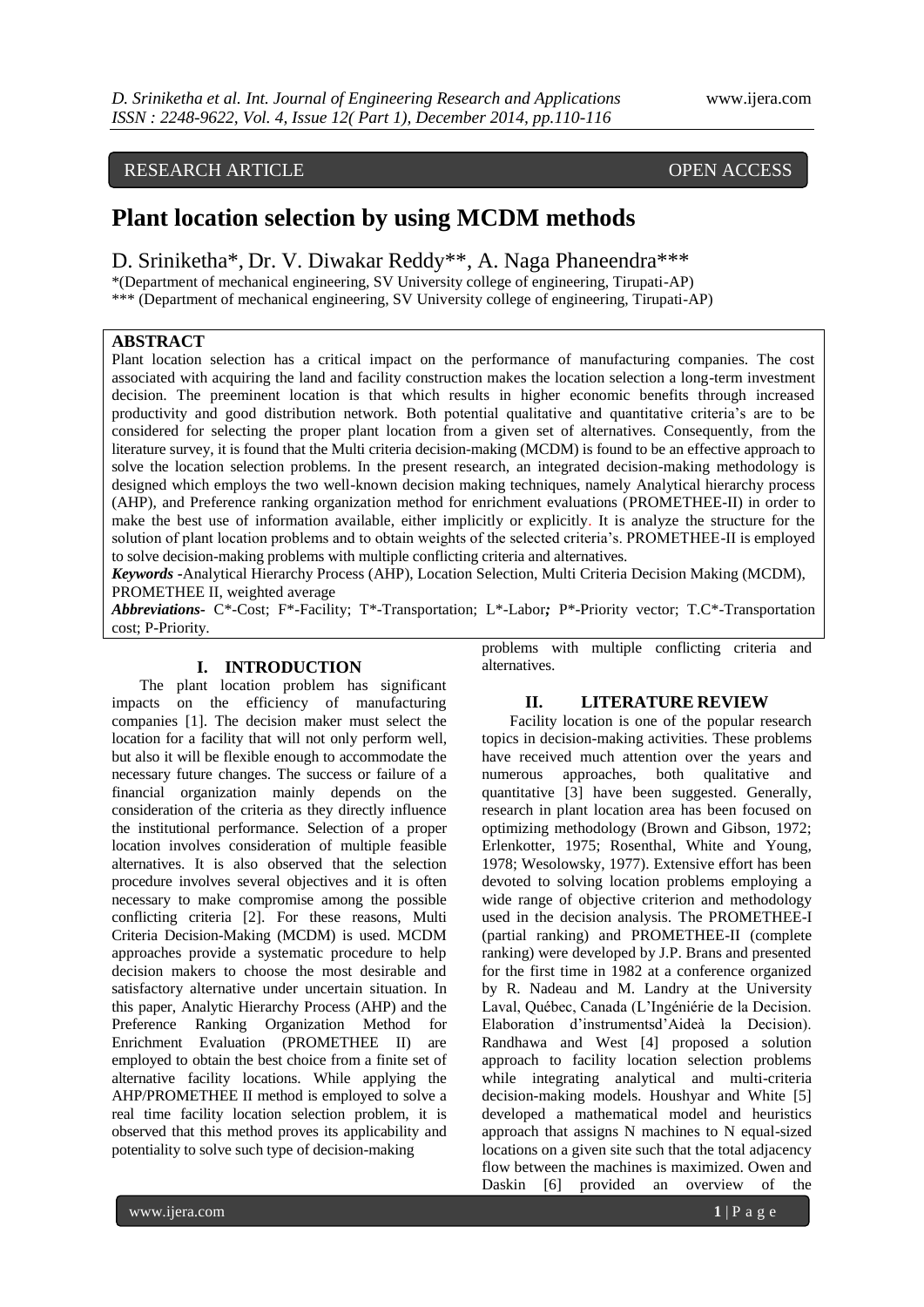# RESEARCH ARTICLE OPEN ACCESS

# **Plant location selection by using MCDM methods**

D. Sriniketha\*, Dr. V. Diwakar Reddy\*\*, A. Naga Phaneendra\*\*\* \*(Department of mechanical engineering, SV University college of engineering, Tirupati-AP) \*\*\* (Department of mechanical engineering, SV University college of engineering, Tirupati-AP)

# **ABSTRACT**

Plant location selection has a critical impact on the performance of manufacturing companies. The cost associated with acquiring the land and facility construction makes the location selection a long-term investment decision. The preeminent location is that which results in higher economic benefits through increased productivity and good distribution network. Both potential qualitative and quantitative criteria's are to be considered for selecting the proper plant location from a given set of alternatives. Consequently, from the literature survey, it is found that the Multi criteria decision-making (MCDM) is found to be an effective approach to solve the location selection problems. In the present research, an integrated decision-making methodology is designed which employs the two well-known decision making techniques, namely Analytical hierarchy process (AHP), and Preference ranking organization method for enrichment evaluations (PROMETHEE-II) in order to make the best use of information available, either implicitly or explicitly. It is analyze the structure for the solution of plant location problems and to obtain weights of the selected criteria's. PROMETHEE-II is employed to solve decision-making problems with multiple conflicting criteria and alternatives.

*Keywords* **-**Analytical Hierarchy Process (AHP), Location Selection, Multi Criteria Decision Making (MCDM), PROMETHEE II, weighted average

*Abbreviations-* C\*-Cost; F\*-Facility; T\*-Transportation; L\*-Labor*;* P\*-Priority vector; T.C\*-Transportation cost; P-Priority.

#### **I. INTRODUCTION**

The plant location problem has significant impacts on the efficiency of manufacturing companies [1]. The decision maker must select the location for a facility that will not only perform well, but also it will be flexible enough to accommodate the necessary future changes. The success or failure of a financial organization mainly depends on the consideration of the criteria as they directly influence the institutional performance. Selection of a proper location involves consideration of multiple feasible alternatives. It is also observed that the selection procedure involves several objectives and it is often necessary to make compromise among the possible conflicting criteria [2]. For these reasons, Multi Criteria Decision-Making (MCDM) is used. MCDM approaches provide a systematic procedure to help decision makers to choose the most desirable and satisfactory alternative under uncertain situation. In this paper, Analytic Hierarchy Process (AHP) and the Preference Ranking Organization Method for Enrichment Evaluation (PROMETHEE II) are employed to obtain the best choice from a finite set of alternative facility locations. While applying the AHP/PROMETHEE II method is employed to solve a real time facility location selection problem, it is observed that this method proves its applicability and potentiality to solve such type of decision-making

problems with multiple conflicting criteria and alternatives.

# **II. LITERATURE REVIEW**

Facility location is one of the popular research topics in decision-making activities. These problems have received much attention over the years and numerous approaches, both qualitative and quantitative [3] have been suggested. Generally, research in plant location area has been focused on optimizing methodology (Brown and Gibson, 1972; Erlenkotter, 1975; Rosenthal, White and Young, 1978; Wesolowsky, 1977). Extensive effort has been devoted to solving location problems employing a wide range of objective criterion and methodology used in the decision analysis. The PROMETHEE-I (partial ranking) and PROMETHEE-II (complete ranking) were developed by J.P. Brans and presented for the first time in 1982 at a conference organized by R. Nadeau and M. Landry at the University Laval, Québec, Canada (L'Ingéniérie de la Decision. Elaboration d'instrumentsd'Aideà la Decision). Randhawa and West [4] proposed a solution approach to facility location selection problems while integrating analytical and multi-criteria decision-making models. Houshyar and White [5] developed a mathematical model and heuristics approach that assigns N machines to N equal-sized locations on a given site such that the total adjacency flow between the machines is maximized. Owen and Daskin [6] provided an overview of the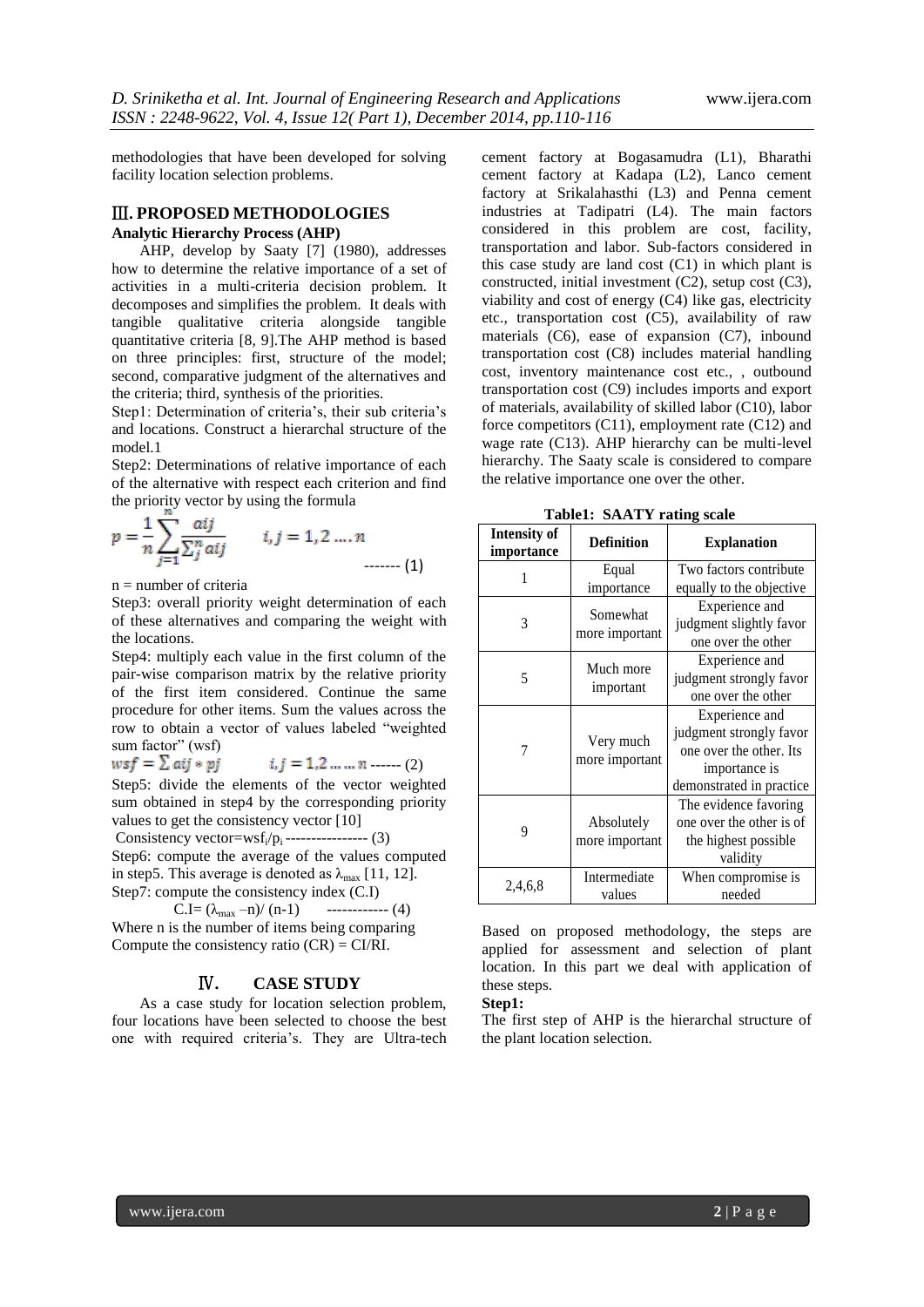methodologies that have been developed for solving facility location selection problems.

#### Ⅲ**. PROPOSED METHODOLOGIES Analytic Hierarchy Process (AHP)**

AHP, develop by Saaty [7] (1980), addresses how to determine the relative importance of a set of activities in a multi-criteria decision problem. It decomposes and simplifies the problem. It deals with tangible qualitative criteria alongside tangible quantitative criteria [8, 9].The AHP method is based on three principles: first, structure of the model; second, comparative judgment of the alternatives and the criteria; third, synthesis of the priorities.

Step1: Determination of criteria's, their sub criteria's and locations. Construct a hierarchal structure of the model.1

Step2: Determinations of relative importance of each of the alternative with respect each criterion and find the priority vector by using the formula

$$
p = \frac{1}{n} \sum_{j=1}^n \frac{aij}{\sum_j^n aij} \qquad i, j = 1, 2 \dots n \qquad (1)
$$

 $n =$  number of criteria

Step3: overall priority weight determination of each of these alternatives and comparing the weight with the locations.

Step4: multiply each value in the first column of the pair-wise comparison matrix by the relative priority of the first item considered. Continue the same procedure for other items. Sum the values across the row to obtain a vector of values labeled "weighted sum factor" (wsf)

 $wsf = \sum aij * pj$  $i, j = 1, 2, ..., n$  ------ (2)

Step5: divide the elements of the vector weighted sum obtained in step4 by the corresponding priority values to get the consistency vector [10]

Consistency vector= $wsf_i/p_i$ ---------------- (3) Step6: compute the average of the values computed in step5. This average is denoted as  $\lambda_{\text{max}}$  [11, 12].

Step7: compute the consistency index (C.I) C.I=  $(\lambda_{\text{max}} - n) / (n-1)$  ------------ (4) Where n is the number of items being comparing

Compute the consistency ratio  $(CR) = CI/RI$ .

# Ⅳ**. CASE STUDY**

As a case study for location selection problem, four locations have been selected to choose the best one with required criteria's. They are Ultra-tech cement factory at Bogasamudra (L1), Bharathi cement factory at Kadapa (L2), Lanco cement factory at Srikalahasthi (L3) and Penna cement industries at Tadipatri (L4). The main factors considered in this problem are cost, facility, transportation and labor. Sub-factors considered in this case study are land cost (C1) in which plant is constructed, initial investment (C2), setup cost (C3), viability and cost of energy (C4) like gas, electricity etc., transportation cost (C5), availability of raw materials (C6), ease of expansion (C7), inbound transportation cost (C8) includes material handling cost, inventory maintenance cost etc., , outbound transportation cost (C9) includes imports and export of materials, availability of skilled labor (C10), labor force competitors (C11), employment rate (C12) and wage rate (C13). AHP hierarchy can be multi-level hierarchy. The Saaty scale is considered to compare the relative importance one over the other.

**Table1: SAATY rating scale**

| <b>Intensity of</b><br>importance | <b>Definition</b> | <b>Explanation</b>       |  |  |
|-----------------------------------|-------------------|--------------------------|--|--|
|                                   | Equal             | Two factors contribute   |  |  |
|                                   | importance        | equally to the objective |  |  |
|                                   | Somewhat          | Experience and           |  |  |
| 3                                 | more important    | judgment slightly favor  |  |  |
|                                   |                   | one over the other       |  |  |
|                                   | Much more         | Experience and           |  |  |
| 5                                 | important         | judgment strongly favor  |  |  |
|                                   |                   | one over the other       |  |  |
|                                   |                   | Experience and           |  |  |
|                                   | Very much         | judgment strongly favor  |  |  |
| 7                                 | more important    | one over the other. Its  |  |  |
|                                   |                   | importance is            |  |  |
|                                   |                   | demonstrated in practice |  |  |
|                                   |                   | The evidence favoring    |  |  |
| 9                                 | Absolutely        | one over the other is of |  |  |
|                                   | more important    | the highest possible     |  |  |
|                                   |                   | validity                 |  |  |
|                                   | Intermediate      | When compromise is       |  |  |
| 2,4,6,8                           | values            | needed                   |  |  |

Based on proposed methodology, the steps are applied for assessment and selection of plant location. In this part we deal with application of these steps.

**Step1:** 

The first step of AHP is the hierarchal structure of the plant location selection.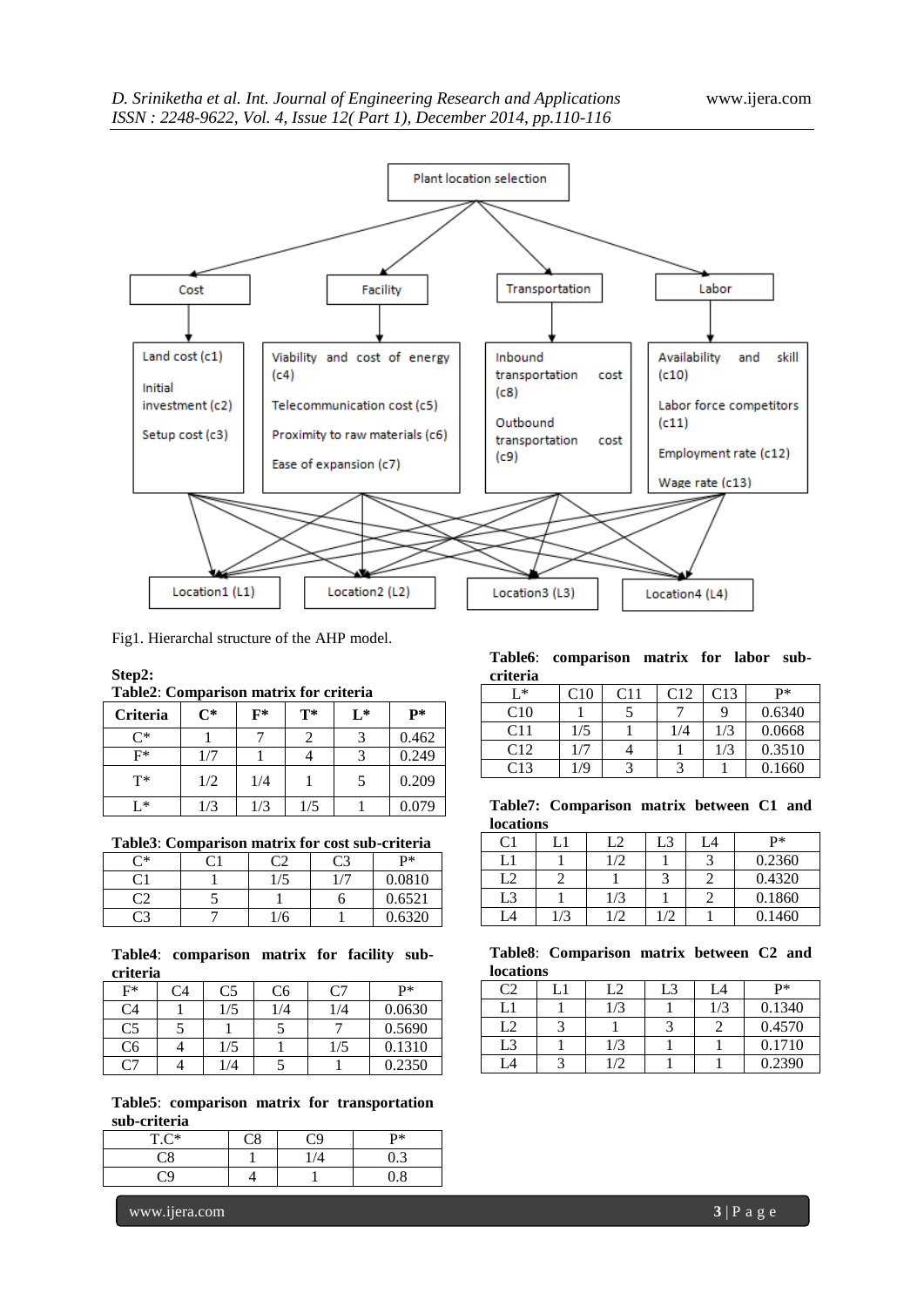

Fig1. Hierarchal structure of the AHP model.

#### **Step2:**

**Table2**: **Comparison matrix for criteria**

| <b>Criteria</b> | $\mathrm{C}^*$ | $\mathbf{F}^*$ | $T^*$ | L* | P*    |
|-----------------|----------------|----------------|-------|----|-------|
| ∩*              |                |                |       |    | 0.462 |
| F*              | 1/7            |                |       |    | 0.249 |
| $T^*$           | 1/2            | 1/4            |       | 5  | 0.209 |
| [ *             | l/3            | 1/3            | 1/5   |    | 0.079 |

**Table3**: **Comparison matrix for cost sub-criteria**

| ~∗ | $\mathsf{\Gamma}^{\scriptscriptstyle{\mathsf{1}}}$ | o۳  | C3 | <b>D*</b> |
|----|----------------------------------------------------|-----|----|-----------|
| 21 |                                                    | 1/5 |    | 0.0810    |
| ີາ |                                                    |     | C  | 0.6521    |
| 23 |                                                    | 1/6 |    | 0.6320    |

#### **Table4**: **comparison matrix for facility subcriteria**

| F* | Ω4 | C5  | C6  |     | P*     |
|----|----|-----|-----|-----|--------|
| C4 |    | 1/5 | 1/4 | 1/4 | 0.0630 |
| C5 |    |     |     |     | 0.5690 |
| C6 |    | 1/5 |     | 1/5 | 0.1310 |
|    |    | /4  |     |     | 0.2350 |

**Table5**: **comparison matrix for transportation sub-criteria**

| $TC^*$ |  | P* |
|--------|--|----|
|        |  |    |
|        |  | o  |

**Table6**: **comparison matrix for labor subcriteria**

| I * | C10 | C11 | C12 | C13 | $P*$   |
|-----|-----|-----|-----|-----|--------|
| C10 |     |     |     |     | 0.6340 |
| C11 | 1/5 |     | 1/4 | 1/3 | 0.0668 |
| C12 | 1/7 |     |     | 1/3 | 0.3510 |
| C13 | 1/9 |     |     |     | 0.1660 |

**Table7: Comparison matrix between C1 and locations**

| C1 |     | L2            | L3 | L4 | p*     |
|----|-----|---------------|----|----|--------|
|    |     | $\frac{1}{2}$ |    |    | 0.2360 |
| L2 |     |               |    |    | 0.4320 |
| L3 |     | 1/3           |    |    | 0.1860 |
| L4 | 1/3 | /2            |    |    | 0.1460 |

#### **Table8**: **Comparison matrix between C2 and locations**

| $C^{\sigma}$ | L2         | L3 | L4  | $P*$   |
|--------------|------------|----|-----|--------|
| L1           | 1/3        |    | 1/3 | 0.1340 |
| L2           |            |    |     | 0.4570 |
| L3           | 1/3        |    |     | 0.1710 |
| А            | $\sqrt{2}$ |    |     | 0.2390 |

www.ijera.com **3** | P a g e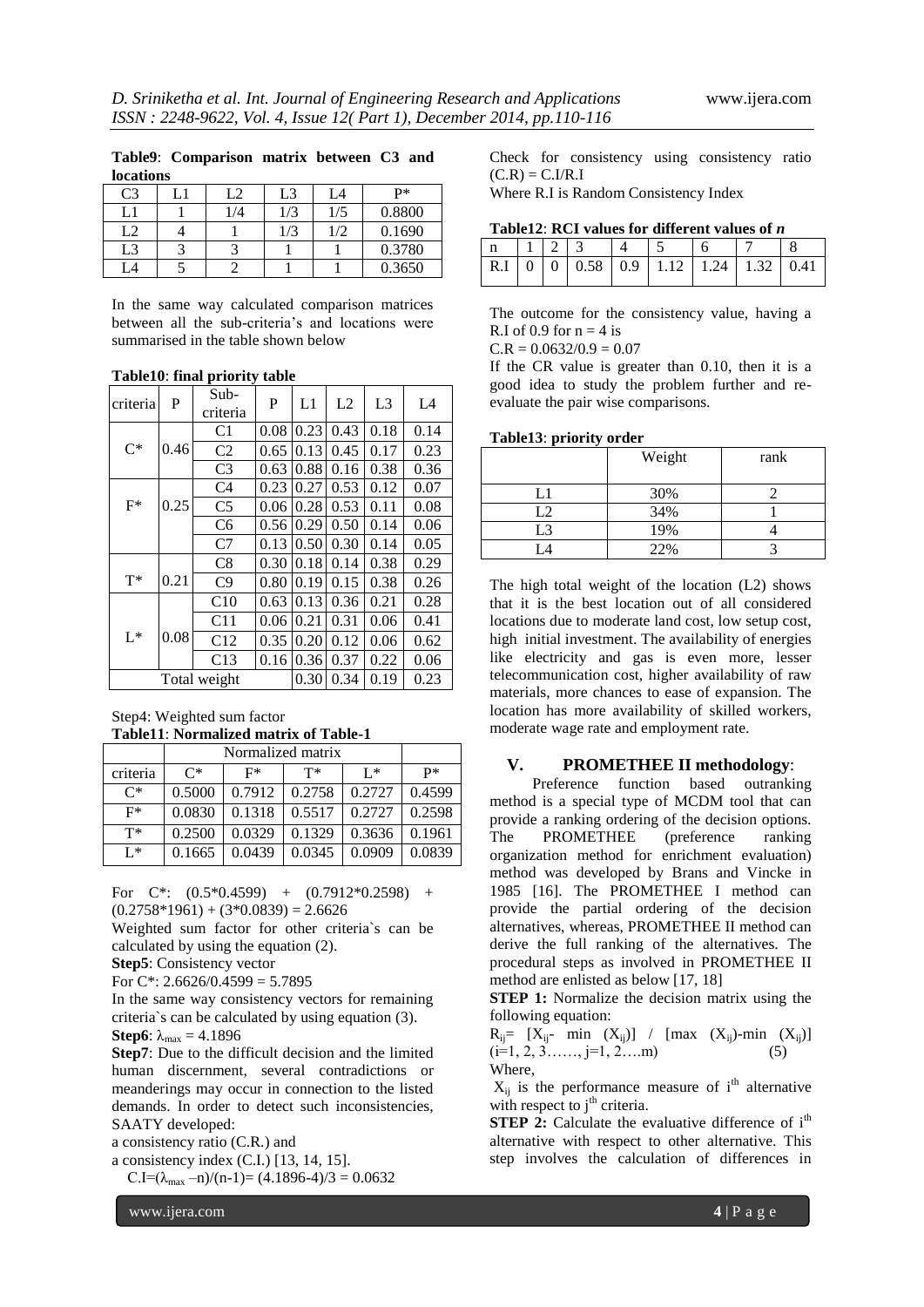| <b>locations</b> |     |     |     |        |
|------------------|-----|-----|-----|--------|
| C <sub>3</sub>   | L2  | L3  | L4  | $P*$   |
| L1               | 1/4 | 1/3 | 1/5 | 0.8800 |
| L2               |     | 1/3 | 1/2 | 0.1690 |
| L3               |     |     |     | 0.3780 |
|                  |     |     |     | 0.3650 |

**Table9**: **Comparison matrix between C3 and** 

In the same way calculated comparison matrices between all the sub-criteria's and locations were summarised in the table shown below

| criteria     | P    | $Sub-$<br>criteria | P    | L1   | L2   | L <sub>3</sub> | L4   |
|--------------|------|--------------------|------|------|------|----------------|------|
|              |      | C <sub>1</sub>     | 0.08 | 0.23 | 0.43 | 0.18           | 0.14 |
| $C^*$        | 0.46 | C <sub>2</sub>     | 0.65 | 0.13 | 0.45 | 0.17           | 0.23 |
|              |      | C <sub>3</sub>     | 0.63 | 0.88 | 0.16 | 0.38           | 0.36 |
|              |      | C <sub>4</sub>     | 0.23 | 0.27 | 0.53 | 0.12           | 0.07 |
| $F^*$        | 0.25 | C <sub>5</sub>     | 0.06 | 0.28 | 0.53 | 0.11           | 0.08 |
|              |      | C <sub>6</sub>     | 0.56 | 0.29 | 0.50 | 0.14           | 0.06 |
|              |      | C7                 | 0.13 | 0.50 | 0.30 | 0.14           | 0.05 |
|              |      | C8                 | 0.30 | 0.18 | 0.14 | 0.38           | 0.29 |
| $T^*$        | 0.21 | C9                 | 0.80 | 0.19 | 0.15 | 0.38           | 0.26 |
|              |      | C10                | 0.63 | 0.13 | 0.36 | 0.21           | 0.28 |
|              |      | C11                | 0.06 | 0.21 | 0.31 | 0.06           | 0.41 |
| $L^*$        | 0.08 | C12                | 0.35 | 0.20 | 0.12 | 0.06           | 0.62 |
|              |      | C13                | 0.16 | 0.36 | 0.37 | 0.22           | 0.06 |
| Total weight |      |                    | 0.30 | 0.34 | 0.19 | 0.23           |      |

#### **Table10**: **final priority table**

Step4: Weighted sum factor **Table11**: **Normalized matrix of Table-1**

|                | Normalized matrix |        |        |        |        |
|----------------|-------------------|--------|--------|--------|--------|
| criteria       | $C^*$             | F*     | т*     | $I^*$  | p*     |
| $\mathsf{C}^*$ | 0.5000            | 0.7912 | 0.2758 | 0.2727 | 0.4599 |
| $F^*$          | 0.0830            | 0.1318 | 0.5517 | 0.2727 | 0.2598 |
| $T^*$          | 0.2500            | 0.0329 | 0.1329 | 0.3636 | 0.1961 |
| $I^*$          | 0.1665            | 0.0439 | 0.0345 | 0.0909 | 0.0839 |

For  $C^*$ :  $(0.5^*0.4599)$  +  $(0.7912^*0.2598)$  +  $(0.2758*1961) + (3*0.0839) = 2.6626$ 

Weighted sum factor for other criteria`s can be calculated by using the equation (2).

**Step5**: Consistency vector

For C\*: 2.6626/0.4599 =  $5.7895$ 

In the same way consistency vectors for remaining criteria`s can be calculated by using equation (3). **Step6**:  $\lambda_{\text{max}} = 4.1896$ 

**Step7**: Due to the difficult decision and the limited human discernment, several contradictions or meanderings may occur in connection to the listed demands. In order to detect such inconsistencies, SAATY developed:

a consistency ratio (C.R.) and

a consistency index (C.I.) [13, 14, 15].

C.I= $(\lambda_{max} - n)/(n-1)$ = (4.1896-4)/3 = 0.0632

Check for consistency using consistency ratio  $(C.R) = C.I/R.I$ 

Where R.I is Random Consistency Index

| Table12: RCI values for different values of $n$ |  |  |  |
|-------------------------------------------------|--|--|--|
|-------------------------------------------------|--|--|--|

|  |  |  | $\boxed{\text{R.I} \mid 0 \mid 0 \mid 0.58 \mid 0.9 \mid 1.12 \mid 1.24 \mid 1.32 \mid 0.41 \mid}$ |  |
|--|--|--|----------------------------------------------------------------------------------------------------|--|

The outcome for the consistency value, having a R.I of 0.9 for  $n = 4$  is

 $C.R = 0.0632/0.9 = 0.07$ 

If the CR value is greater than 0.10, then it is a good idea to study the problem further and reevaluate the pair wise comparisons.

#### **Table13**: **priority order**

|     | Weight | rank |
|-----|--------|------|
| - 1 | 30%    |      |
| L2  | 34%    |      |
| L3  | 19%    |      |
|     | 22%    |      |

The high total weight of the location (L2) shows that it is the best location out of all considered locations due to moderate land cost, low setup cost, high initial investment. The availability of energies like electricity and gas is even more, lesser telecommunication cost, higher availability of raw materials, more chances to ease of expansion. The location has more availability of skilled workers, moderate wage rate and employment rate.

#### **V. PROMETHEE II methodology**:

 Preference function based outranking method is a special type of MCDM tool that can provide a ranking ordering of the decision options. The PROMETHEE (preference ranking organization method for enrichment evaluation) method was developed by Brans and Vincke in 1985 [16]. The PROMETHEE I method can provide the partial ordering of the decision alternatives, whereas, PROMETHEE II method can derive the full ranking of the alternatives. The procedural steps as involved in PROMETHEE II method are enlisted as below [17, 18]

**STEP 1:** Normalize the decision matrix using the following equation:

 $R_{ij}$ = [ $X_{ij}$ - min  $(X_{ij})$ ] / [max  $(X_{ij})$ -min  $(X_{ij})$ ]  $(i=1, 2, 3, \ldots, j=1, 2, \ldots, m)$  (5) Where,

 $X_{ii}$  is the performance measure of i<sup>th</sup> alternative with respect to  $j<sup>th</sup>$  criteria.

**STEP 2:** Calculate the evaluative difference of i<sup>th</sup> alternative with respect to other alternative. This step involves the calculation of differences in

www.ijera.com **4** | P a g e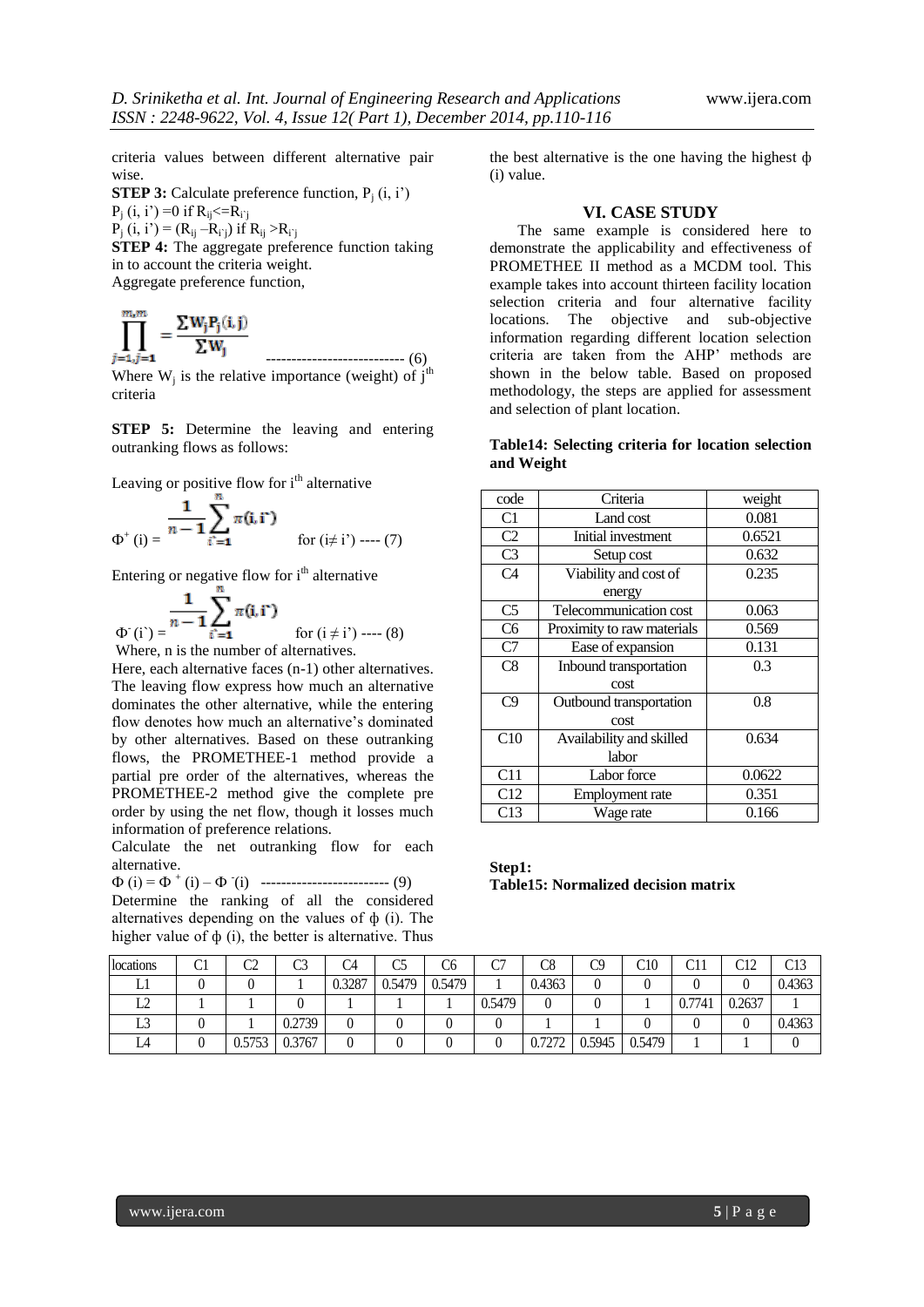criteria values between different alternative pair wise.

**STEP 3:** Calculate preference function,  $P_i(i, i')$  $P_i$  (i, i') =0 if  $R_{ij} \leq R_{i}$  $\overrightarrow{P}_i$  (i, i') = ( $R_{ij} - R_{i'j}$ ) if  $R_{ij} > R_{i'j}$ 

**STEP 4:** The aggregate preference function taking in to account the criteria weight. Aggregate preference function,

$$
\prod_{j=1,j=1}^{m,m} = \frac{\sum W_j P_j(i,j)}{\sum W_j}
$$
\n
$$
\text{Where } W_i \text{ is the relative importance (weight) of } i^{\text{th}}
$$

Where  $W_j$  is the relative importance (weight) of  $j<sup>th</sup>$ criteria

**STEP 5:** Determine the leaving and entering outranking flows as follows:

Leaving or positive flow for i<sup>th</sup> alternative

$$
\Phi^+(i) = \frac{1}{n-1} \sum_{i'=1}^n \pi(i, i') \quad \text{for } (i \neq i') \text{ --- } (7)
$$

Entering or negative flow for  $i<sup>th</sup>$  alternative

 $\Phi$ <sup>c</sup>(i) =  $\frac{1}{i}$  =  $\frac{1}{i}$  =  $\frac{1}{i}$  for (i  $\neq$  i) ---- (8) Where, n is the number of alternatives.

Here, each alternative faces (n-1) other alternatives. The leaving flow express how much an alternative dominates the other alternative, while the entering flow denotes how much an alternative's dominated by other alternatives. Based on these outranking flows, the PROMETHEE-1 method provide a partial pre order of the alternatives, whereas the PROMETHEE-2 method give the complete pre order by using the net flow, though it losses much information of preference relations.

Calculate the net outranking flow for each alternative.

Ф (i) = Ф <sup>+</sup> (i) – Ф - (i) ------------------------- (9)

Determine the ranking of all the considered alternatives depending on the values of  $\phi$  (i). The higher value of  $\phi$  (i), the better is alternative. Thus

the best alternative is the one having the highest ф (i) value.

#### **VI. CASE STUDY**

The same example is considered here to demonstrate the applicability and effectiveness of PROMETHEE II method as a MCDM tool. This example takes into account thirteen facility location selection criteria and four alternative facility locations. The objective and sub-objective information regarding different location selection criteria are taken from the AHP' methods are shown in the below table. Based on proposed methodology, the steps are applied for assessment and selection of plant location.

#### **Table14: Selecting criteria for location selection and Weight**

| code           | Criteria                   | weight |
|----------------|----------------------------|--------|
| C1             | Land cost                  | 0.081  |
| C <sub>2</sub> | Initial investment         | 0.6521 |
| C <sub>3</sub> | Setup cost                 | 0.632  |
| C <sub>4</sub> | Viability and cost of      | 0.235  |
|                | energy                     |        |
| C <sub>5</sub> | Telecommunication cost     | 0.063  |
| C <sub>6</sub> | Proximity to raw materials | 0.569  |
| C7             | Ease of expansion          | 0.131  |
| C8             | Inbound transportation     | 0.3    |
|                | cost                       |        |
| C9             | Outbound transportation    | 0.8    |
|                | cost                       |        |
| C10            | Availability and skilled   | 0.634  |
|                | labor                      |        |
| C11            | Labor force                | 0.0622 |
| C12            | Employment rate            | 0.351  |
| C13            | Wage rate                  | 0.166  |

**Step1: Table15: Normalized decision matrix**

| locations | ◡ | o۵<br>◡ | C3     | C4     | w      | C6     | $\sim$<br>◡ | C8     | C9     | C10    | C11    | $\cap$ 10<br>◡▴▵ |        |
|-----------|---|---------|--------|--------|--------|--------|-------------|--------|--------|--------|--------|------------------|--------|
| ப         |   |         |        | 0.3287 | 0.5479 | 0.5479 |             | 0.4363 |        |        |        |                  | 0.4363 |
| ∸         |   |         |        |        |        |        | 0.5479      | υ      |        |        | 0.7741 | 0.2637           |        |
| <b>LU</b> |   |         | 0.2739 |        |        |        |             |        |        |        |        |                  | 0.4363 |
| LA        |   | 0.5753  | 0.3767 |        |        |        |             | 0.7272 | 0.5945 | 0.5479 |        |                  |        |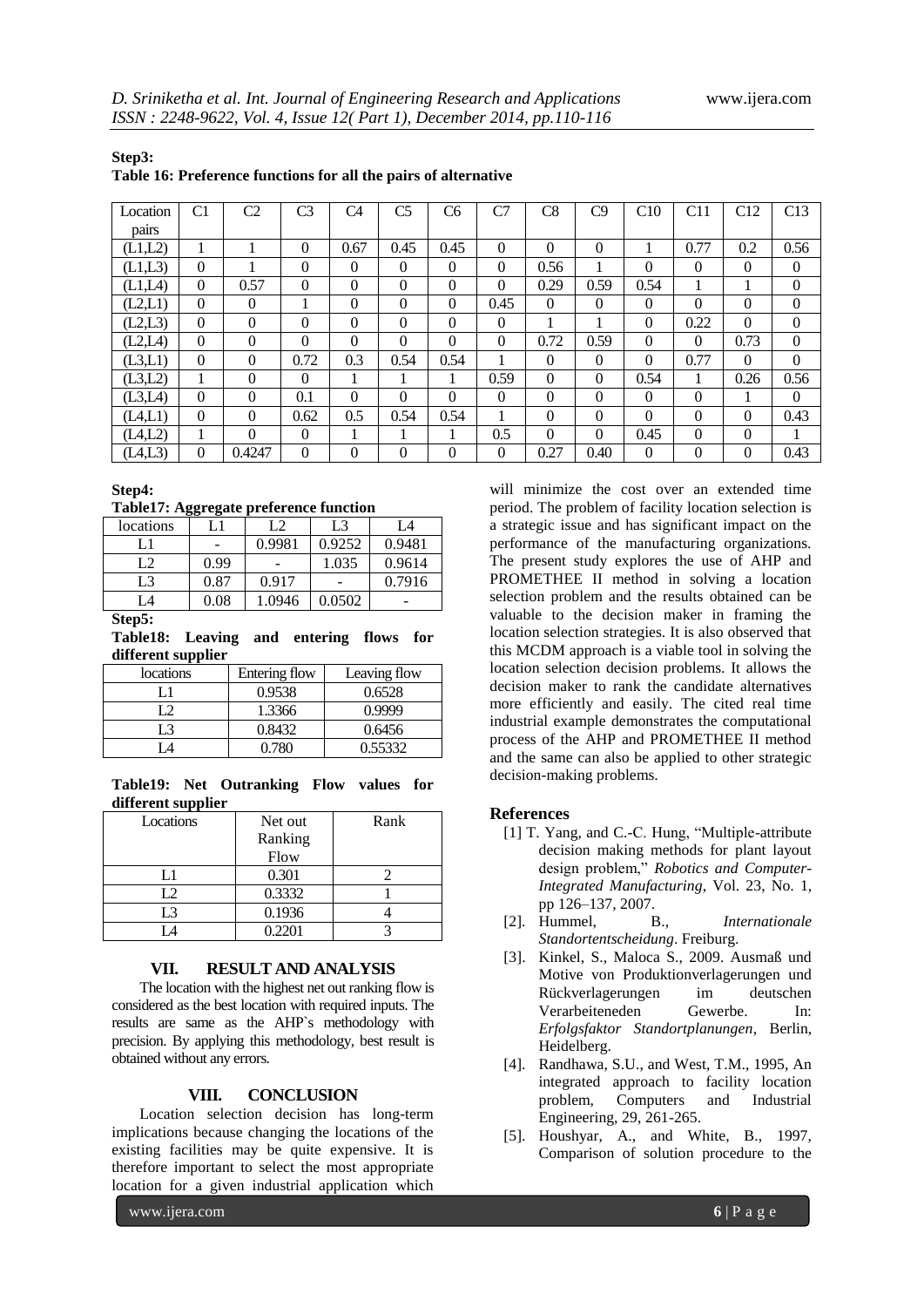| Table 16: Preference functions for all the pairs of alternative |          |                |              |                |                |                |          |          |          |          |              |              |          |
|-----------------------------------------------------------------|----------|----------------|--------------|----------------|----------------|----------------|----------|----------|----------|----------|--------------|--------------|----------|
| Location                                                        | C1       | C <sub>2</sub> | C3           | C <sub>4</sub> | C <sub>5</sub> | C <sub>6</sub> | C7       | C8       | C9       | C10      | C11          | C12          | C13      |
| pairs                                                           |          |                |              |                |                |                |          |          |          |          |              |              |          |
| (L1,L2)                                                         | 1        |                | $\Omega$     | 0.67           | 0.45           | 0.45           | $\theta$ | $\Omega$ | $\Omega$ | 1        | 0.77         | 0.2          | 0.56     |
| (L1,L3)                                                         | $\Omega$ |                | $\Omega$     | $\Omega$       | $\Omega$       | $\Omega$       | $\Omega$ | 0.56     |          | $\Omega$ | $\Omega$     | $\Omega$     | $\Omega$ |
| (L1,L4)                                                         | $\Omega$ | 0.57           | $\Omega$     | $\Omega$       | $\Omega$       | $\Omega$       | $\Omega$ | 0.29     | 0.59     | 0.54     |              |              | $\Omega$ |
| (L2,L1)                                                         | $\Omega$ | $\theta$       | 1            | $\Omega$       | $\Omega$       | $\Omega$       | 0.45     | $\Omega$ | $\Omega$ | $\Omega$ | $\Omega$     | $\Omega$     | $\Omega$ |
| (L2,L3)                                                         | $\Omega$ | $\Omega$       | $\Omega$     | $\Omega$       | $\Omega$       | $\Omega$       | $\theta$ |          |          | $\Omega$ | 0.22         | $\Omega$     | $\Omega$ |
| (L2,L4)                                                         | $\Omega$ | $\Omega$       | $\theta$     | $\Omega$       | $\Omega$       | $\Omega$       | $\Omega$ | 0.72     | 0.59     | $\Omega$ | $\theta$     | 0.73         | $\Omega$ |
| (L3,L1)                                                         | $\Omega$ | $\Omega$       | 0.72         | 0.3            | 0.54           | 0.54           |          | $\Omega$ | $\Omega$ | $\Omega$ | 0.77         | $\Omega$     | $\Omega$ |
| (L3,L2)                                                         | 1        | $\Omega$       | $\Omega$     |                |                |                | 0.59     | $\Omega$ | $\Omega$ | 0.54     |              | 0.26         | 0.56     |
| (L3,L4)                                                         | $\Omega$ | $\Omega$       | 0.1          | $\Omega$       | $\Omega$       | $\Omega$       | $\theta$ | $\Omega$ | $\Omega$ | $\Omega$ | $\theta$     |              | $\Omega$ |
| (L4,L1)                                                         | $\Omega$ | $\Omega$       | 0.62         | 0.5            | 0.54           | 0.54           | 1        | $\Omega$ | $\Omega$ | $\Omega$ | $\Omega$     | $\Omega$     | 0.43     |
| (L4,L2)                                                         | 1        | $\Omega$       | $\Omega$     |                |                |                | 0.5      | $\Omega$ | $\Omega$ | 0.45     | $\Omega$     | $\theta$     | 1        |
| (L4,L3)                                                         | $\Omega$ | 0.4247         | $\mathbf{0}$ | $\mathbf{0}$   | $\Omega$       | $\Omega$       | $\theta$ | 0.27     | 0.40     | $\Omega$ | $\mathbf{0}$ | $\mathbf{0}$ | 0.43     |

# **Step3:**

**Step4:**

**Table17: Aggregate preference function**

| locations      |      | L2     | L3     | L4     |
|----------------|------|--------|--------|--------|
|                |      | 0.9981 | 0.9252 | 0.9481 |
| L2             | 0.99 |        | 1.035  | 0.9614 |
| L3             | 0.87 | 0.917  |        | 0.7916 |
| $\overline{A}$ | 0.08 | 1.0946 | 0.0502 |        |

**Step5:**

**Table18: Leaving and entering flows for different supplier**

| . .       |               |              |
|-----------|---------------|--------------|
| locations | Entering flow | Leaving flow |
|           | 0.9538        | 0.6528       |
| ຳ         | 1.3366        | 0.9999       |
| L3        | 0.8432        | 0.6456       |
|           | 0.780         | 0.55332      |

**Table19: Net Outranking Flow values for different supplier**

| Locations | Net out | Rank |
|-----------|---------|------|
|           | Ranking |      |
|           | Flow    |      |
| T 1       | 0.301   |      |
| $\gamma$  | 0.3332  |      |
| L3        | 0.1936  |      |
|           | 0.2201  |      |

# **VII. RESULT AND ANALYSIS**

The location with the highest net out ranking flow is considered as the best location with required inputs. The results are same as the AHP`s methodology with precision. By applying this methodology, best result is obtained without any errors.

# **VIII. CONCLUSION**

Location selection decision has long-term implications because changing the locations of the existing facilities may be quite expensive. It is therefore important to select the most appropriate location for a given industrial application which

www.ijera.com **6** | P a g e

will minimize the cost over an extended time period. The problem of facility location selection is a strategic issue and has significant impact on the performance of the manufacturing organizations. The present study explores the use of AHP and PROMETHEE II method in solving a location selection problem and the results obtained can be valuable to the decision maker in framing the location selection strategies. It is also observed that this MCDM approach is a viable tool in solving the location selection decision problems. It allows the decision maker to rank the candidate alternatives more efficiently and easily. The cited real time industrial example demonstrates the computational process of the AHP and PROMETHEE II method and the same can also be applied to other strategic decision-making problems.

### **References**

- [1] T. Yang, and C.-C. Hung, "Multiple-attribute decision making methods for plant layout design problem," *Robotics and Computer-Integrated Manufacturing*, Vol. 23, No. 1, pp 126–137, 2007.
- [2]. Hummel, B., *Internationale Standortentscheidung*. Freiburg.
- [3]. Kinkel, S., Maloca S., 2009. Ausmaß und Motive von Produktionverlagerungen und Rückverlagerungen im deutschen Verarbeiteneden Gewerbe. In: *Erfolgsfaktor Standortplanungen*, Berlin, Heidelberg.
- [4]. Randhawa, S.U., and West, T.M., 1995, An integrated approach to facility location problem, Computers and Industrial Engineering, 29, 261-265.
- [5]. Houshyar, A., and White, B., 1997, Comparison of solution procedure to the